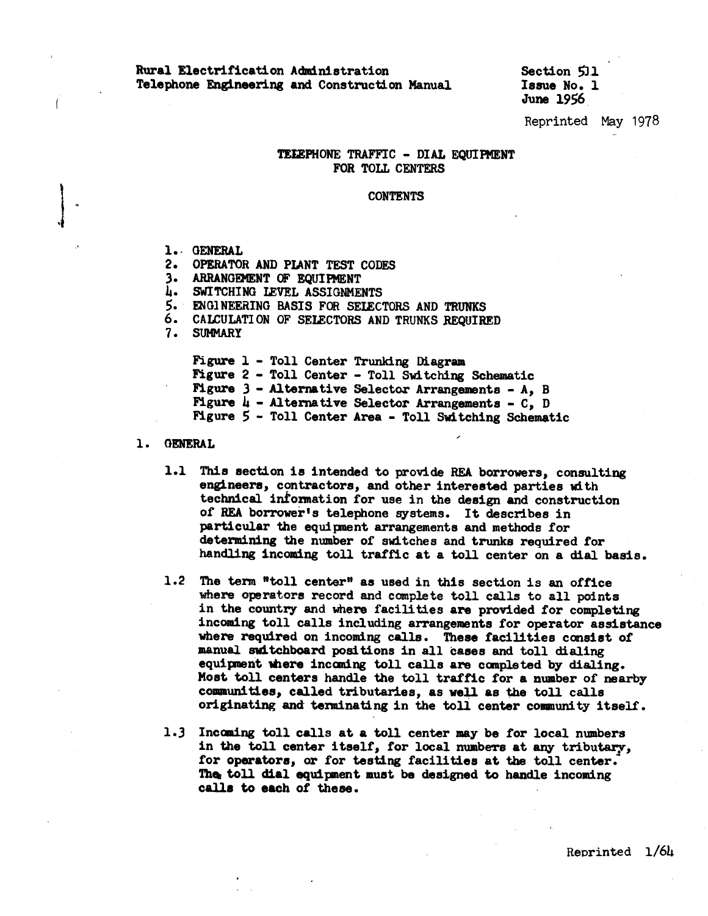Section 511 Issue No. 1 **June 1956** 

Reprinted May 1978

# TELEPHONE TRAFFIC - DIAL EQUIPMENT FOR TOLL CENTERS

#### **CONTENTS**

- 1. GENERAL
- 2. OPERATOR AND PLANT TEST CODES
- 3. ARRANGEMENT OF EQUIPMENT
- 4. SWITCHING LEVEL ASSIGNMENTS
- 5. ENGINEERING BASIS FOR SELECTORS AND TRUNKS
- 6. CALCULATION OF SELECTORS AND TRUNKS REQUIRED
- 7. SUMMARY

Figure 1 - Toll Center Trunking Diagram Figure 2 - Toll Center - Toll Switching Schematic Figure 3 - Alternative Selector Arrangements - A, B Figure  $\mu$  - Alternative Selector Arrangements - C, D Figure 5 - Toll Center Area - Toll Switching Schematic

#### 1. GENERAL

- 1.1 This section is intended to provide REA borrowers, consulting engineers, contractors, and other interested parties with technical information for use in the design and construction of REA borrower's telephone systems. It describes in particular the equipment arrangements and methods for determining the number of switches and trunks required for handling incoming toll traffic at a toll center on a dial basis.
- 1.2 The term "toll center" as used in this section is an office where operators record and complete toll calls to all points in the country and where facilities are provided for completing incoming toll calls including arrangements for operator assistance where required on incoming calls. These facilities consist of manual suitchboard positions in all cases and toll dialing equipment where incoming toll calls are completed by dialing. Most toll centers handle the toll traffic for a number of nearby communities, called tributaries, as well as the toll calls originating and terminating in the toll center community itself.
- 1.3 Incoming toll calls at a toll center may be for local numbers in the toll center itself, for local numbers at any tributary, for operators, or for testing facilities at the toll center. The toll dial equipment must be designed to handle incoming calls to each of these.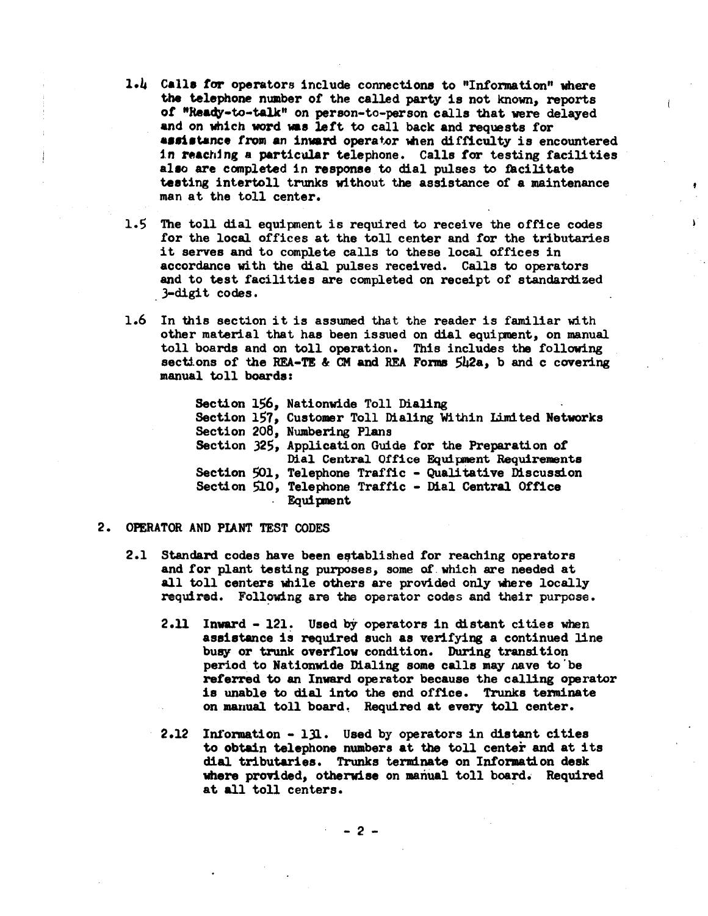- 1.4 Calls *tar* operators include connections to "Information" where the telephone number of the called party is not known, reports *ot* "Reacv-to-talk" on person-to-person calls that were delayed and on which word was left to call back and requests for assistance from an inward operator when difficulty is encountered in reaching a particular telephone. Calls for testing facilities also are completed in response to dial pulses to facilitate testing intertoll trunks without the assistance of a maintenance man at the toll center.
- 1.5 The toll dial equipment is required to receive the office codes for the local offices at the toll center and for the tributaries it serves and to complete calls to these local offices in accordance with the dial pulses received. Calls to operators and to test facilities are completed on receipt of standardized 3-digit codes.

 $\mathbf{y}$ 

1.6 In this section it is assumed that the reader is familiar with other material that has been issued on dial equipaent, on manual toll boards and on toll operation. This includes the following sections of the REA-TE & CM and REA Forms 542a, b and c covering manual toll boards:

> Section 156, Nationwide Toll Dialing Section 157, Customer Toll Dialing Within Limited Networks Section 208, Numbering Plans Section *325,* Application Guide for the Preparation of Dial Central Office Equipment Requirements Section SOl, Telephone Traffic - Qualitative Discussion Section 510, Telephone Traffic - Dial Central Office Equipnent

- 2. OPERATOR AND PlANT TEST CODES
	- 2.1 Standard codes have been established for reaching operators and for plant testing purposes, some of which are needed at all toll centers while others are provided only where locally required. Following are the operator codes and their purpose.
		- 2.11 Inward 121. Used by operators in distant cities when assistance is required such as verifying a continued line busy or trunk overflow condition. During transition period to Nationwide Dialing some calls may nave to be referred to an Inward operator because the calling operator is unable to dial into the end office. Trunks terminate on manual toll board. Required at every toll center.
		- 2.12 Information  $13l$ . Used by operators in distant cities to obtain telephone numbers at the toll center and at its dial tributaries. Trunks terminate on Information desk where provided, otherwise on manual toll board. Required at all toll centers.

- 2 -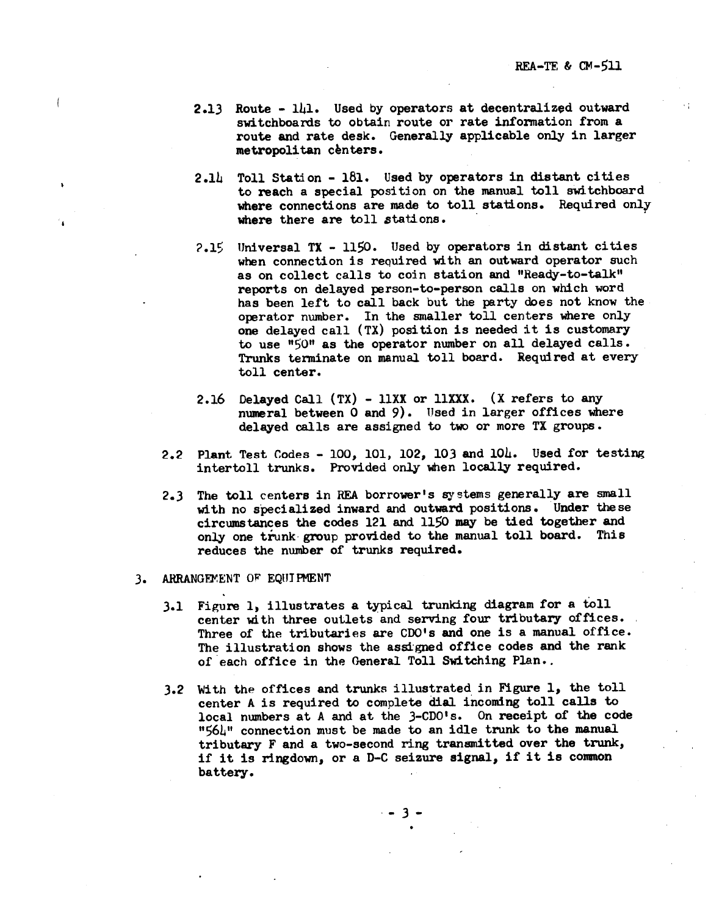χł

- 2.13 Route  $1/1$ . Used by operators at decentralized outward switchboards to obtain route or rate information from <sup>a</sup> route and rate desk. Generally applicable only in larger metropolitan centers.
- $2.1h$  Toll Station 181. Used by operators in distant cities to reach a special position on the manual toll switchboard where connections are made to toll stations. Required only where there are toll stations.
- ?.15 Universal TX 1150. Used by operators in distant cities when connection is required with an outward operator such as on collect calls to coin station and "Ready-to-talk" reports on delayed person-to-person calls on which word has been left to call back but the party does not know the operator number. In the smaller toll centers where only one delayed call (TX) position is needed it is customary to use "50" as the operator number on all delayed calls • Trunks terminate on manual toll board. Required at every toll center.
- 2.16 Delayed Call (TX) llXX or llXXX. (X refers to any numeral between 0 and 9). Used in larger offices where delayed calls are assigned to two or more TX groups •
- 2.2 Plant Test Codes 100, 101, 102, 103 and 104. Used for testing intertoll trunks. Provided only when locally required.
- 2.3 The toll centers in REA borrower's systems generally are small with no specialized inward and outward positions. Under these circumstances the codes 121 and 1150 may be tied together and only one trunk group provided to the manual toll board. This reduces the number of trunks required.
- 3. ARRANGEMENT OF EQUIPMENT
	- 3.1 Figure 1, illustrates a typical trunking diagram for a toll center with three outlets and serving four tributary offices. Three of the tributaries are CDO's and one is a manual office. The illustration shows the assigned office codes and the rank of each office in the General Toll Switching Plan..
	- 3.2 With the offices and trunks illustrated in Figure 1, the toll center A is required to complete dial incoming toll calls to local numbers at A and at the 3-CD0's. On receipt of the code "564" connection must be made to an idle trunk to the manual tributary F and a two-second ring transmitted over the trunk, if it is ringdown, or <sup>a</sup>D-C seizure signal, if it is common battery.

- *3* -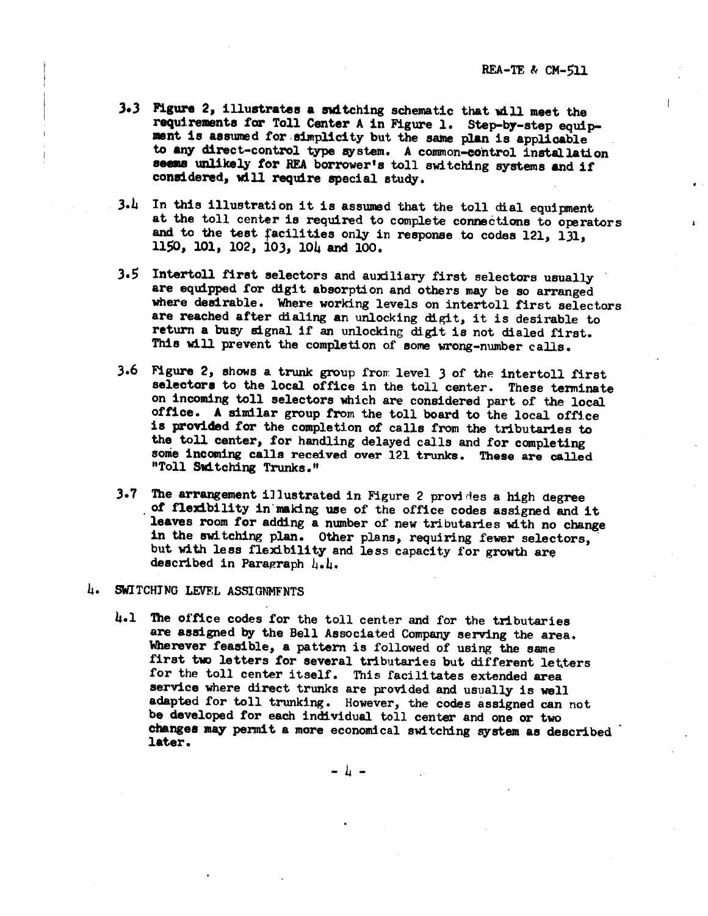- 3.3 **Figure 2, illustrates a suitching schematic that will meet the requirements for Toll Center A in Figure 1. Step-by-step equip**ment is assumed for simplicity but the same plan is applicable to any direct-control type system. A common-control installation seems unlikely for REA borrower's toll switching systems and if considered, will require special study.
- 3.4 In this illustration it is assumed that the toll dial equipment<br>at the toll center is required to complete connections to operators<br>and to the test facilities only in response to codes 121, 131,<br>1150, 101, 102, 103, 1
- 3.5 Intertoll first selectors and auxiliary first selectors usually are equipped for digit absorption and others may be so arranged where desirable. Where working levels on intertoll first selectors are reached after dialing an unlocking digit, it is desirable to return a busy signal if an unlocking digit is not dialed first. This will prevent the completion of some wrong-number calls.
- 3.6 Figure 2, shows a trunk group fron: level 3 of the intertoll first selectors to the local office in the toll center. These terminate on incoming toll selectors which are considered part of the local office. A similar group from the toll board to the local office is provided for the completion of calls from the tributaries to the toll center, for handling delayed calls and for completing some incoming calls received over 121 trunks. These are called "Toll Switching Trunks."
- 3.7 The arrangement illustrated in Figure 2 provides a high degree of flexibility in making use of the office codes assigned and it leaves room for adding a number of new tributaries with no change<br>in the switching plan. Other plans, requiring fewer selectors,<br>but with less flexibility and less capacity for growth are<br>described in Paragraph  $\mu_*\mu_*$ .
- 4. SWITCHING LEVEL ASSIGNMENTS
	- 4.1 The office codes for the toll center and for the tributaries are assigned by the Bell Associated Company serving the area. are assigned by the Bell Associated Company serving the area. Wherever feasible, a pattern is followed of using the same first two letters for several tributaries but different letters for the toll center itself. This facilitates extended area service where direct trunks are provided and usually is well adapted for toll trunking. However, the codes assigned can not be developed for each individual toll center and one or two changes may permit a more economical switching system as described later.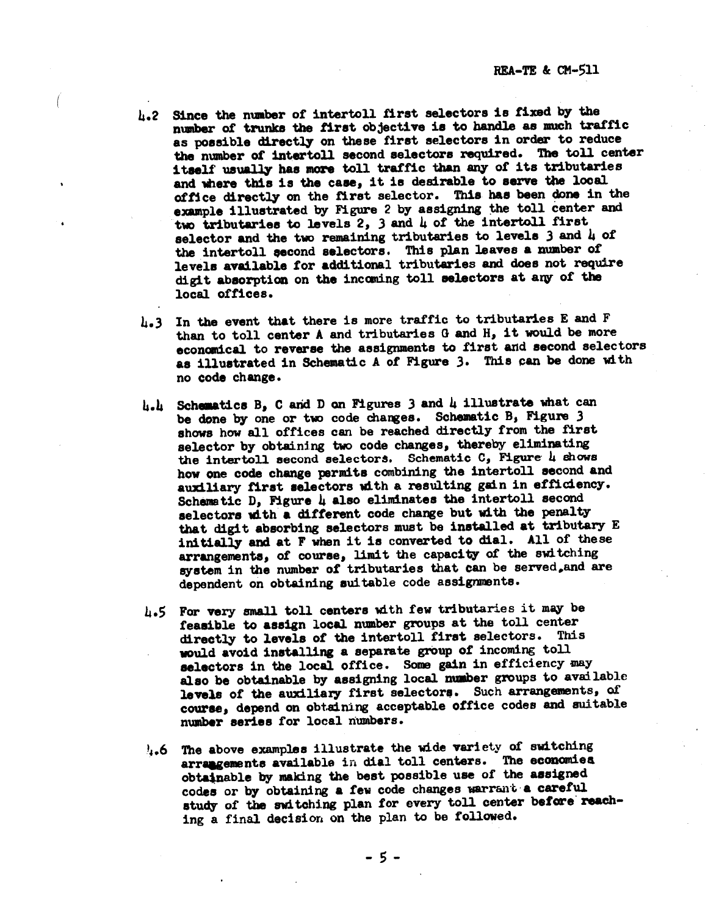- $l_i$ .2 Since the number of intertoll first selectors is fixed by the number of trunks the first objective is to handle as much traffic as possible directly on these first selectors in order to reduce the number of intertoll second selectors required. The toll center itself usually has more toll traffic than any of its tributaries and where this is the case, it is desirable to serve the local office direct17 on the first selector. This has been done in the example illustrated by Figure 2 by assigning the toll center and two tributaries to levels 2, 3 and  $\mu$  of the intertoll first selector and the two remaining tributaries to levels  $3$  and  $\mu$  of the intertoll second selectors. This plan leaves a number of levels available for additional tributaries and does not require digit absorption on the incoming toll selectors at any of the local offices.
- 4.3 In the event that there is more traffic to tributaries E and <sup>F</sup> than to toll center A and tributaries G and H, it would be more economical to reverse the assignments to first and second selectors as illustrated in Schematic A of Figure 3. This can be done with no code change.
- $\mu_*\mu$  Schematics B, C and D on Figures 3 and  $\mu$  illustrate what can be done by one or two code changes. Schematic B, Figure 3 shows how all offices can be reached directly from the first selector by obtaining two code changes, thereby eliminating the intertoll second selectors. Schematic C, Figure 4 shows how one code change permits combining the intertoll second and auxiliary first selectors with a resulting gain in efficiency. Schematic D, Figure  $\mu$  also eliminates the intertoll second selectors with a different code change but with the penalty that digit absorbing selectors must be installed at tributary <sup>E</sup> initially and at F when it is converted to dial. All of these arrangements, of course, limit the capacity of the switching system in the number of tributaries that can be served, and are dependent on obtaining sui table code assignments.
- $4.5$  For very small toll centers with few tributaries it may be feasible to assign local number groups at the toll center directly to levels of the intertoll first selectors. This would avoid installing a separate group of incoming toll selectors in the local office. Some gain in efficiency may also be obtainable by assigning local number groups to available levels of the auxiliary first selectors. Such arrangements, of course, depend on obt.aining acceptable office codes and suitable number series for local numbers.
- $\frac{1}{4}$ .6 The above examples illustrate the wide variety of switching arrangements available in dial toll centers. The economies obtainable by making the best possible use of the assigned codes or by obtaining a few code changes warrant a careful study of the switching plan for every toll center before reaching a final decision on the plan to be followed.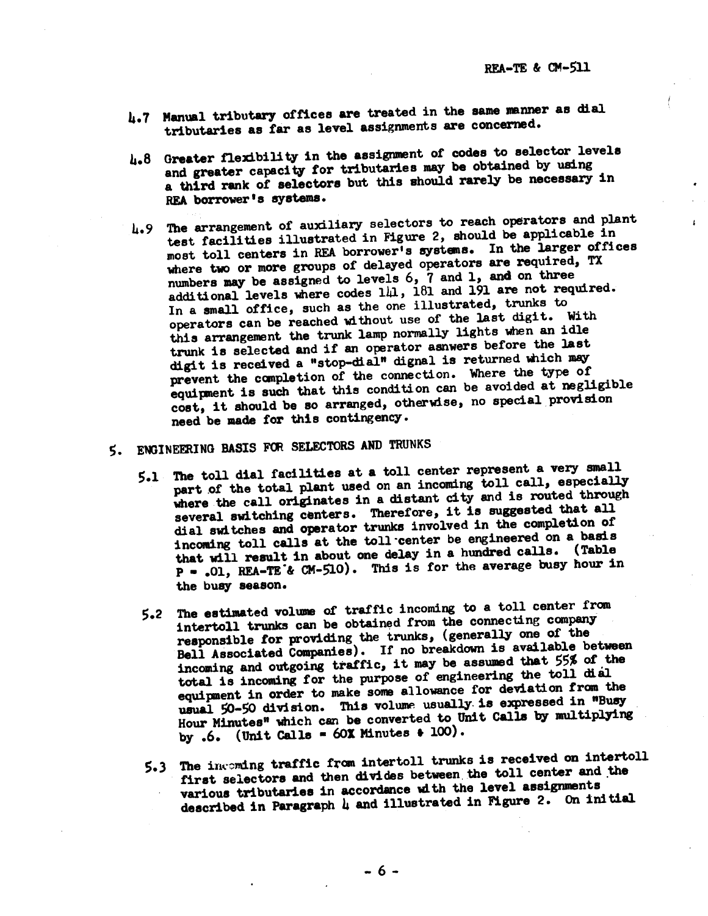$\mathbf{r}$ 

- $4.7$  Manual tributary offices are treated in the same manner as dial tributaries as far as level assignments are concerned.
- $h_{\bullet}$ 8 Greater flexibility in the assignment of codes to selector levels and greater capacity for tributaries may be obtained by using a third rank of selectors but this ahould rarely be necessary in REA borrower's systems.
- 4. 9 The arrangement of auxiliary selectors to reach operators and plant test facilities illustrated in Figure 2, should be applicable in most toll centers in REA borrower's systems. In the larger offices where two or more groups of delayed operators are required, TX numbers may be assigned to levels 6, 7 and 1, and on three additional levels where codes 141, 181 and 191 are not required. In a small office, such as the one illustrated, trunks to opera tors can be reached w1 thout use of the last digit. With this arrangement the trunk lamp normally lights when an idle trunk is selected and if an operator asnwers before the last digit is received a "stop-dial" dignal is returned which may prevent the completion of the connection. Where the type of equipnent is such that this condition can be avoided at negligible cost, it should be so arranged, otherwise, no special provision need be made for this contingency.
- 5. ENGINEERING BASIS FOR SELECTORS AND TRUNKS
	- S.l The toll dial facilities at a toll center represent a very small part of the total plant used on an incoming toll call, especially where the call originates in a distant city and is routed through several switching centers. Therefore, it is suggested that all dial switches and operator trunks involved in the completion of incoming toll calls at the toll center be engineered on a basis that will result in about one delay in a hundred calls. (Table P = .01, REA-TE'& CM-510). This is for the average busy hour in the busy season.
	- 5.2 The estimated volume of traffic incoming to a toll center from intertoll trunks can be obtained from the connecting company responsible for providing the trunks, (generally one of the Bell Associated Companies). If no breakdown is available between incoming and outgoing traffic, it may be assumed that 55% of the total is incoming for the purpose of engineering the toll dial equipment in order to make some allowance for deviation from the usual 50-50 division. This volume usually is expressed in "Busy Hour Minutes" which can be converted to Unit Calls by multiplying by .6. (Unit Calls =  $60X$  Minutes  $\div$  100).
	- 5.3 The incoming traffic from intertoll trunks is received on intertoll first selectors and then divides between the toll center and the various tributaries in accordance with the level assignments described in Paragraph  $\mu$  and illustrated in Figure 2. On initial.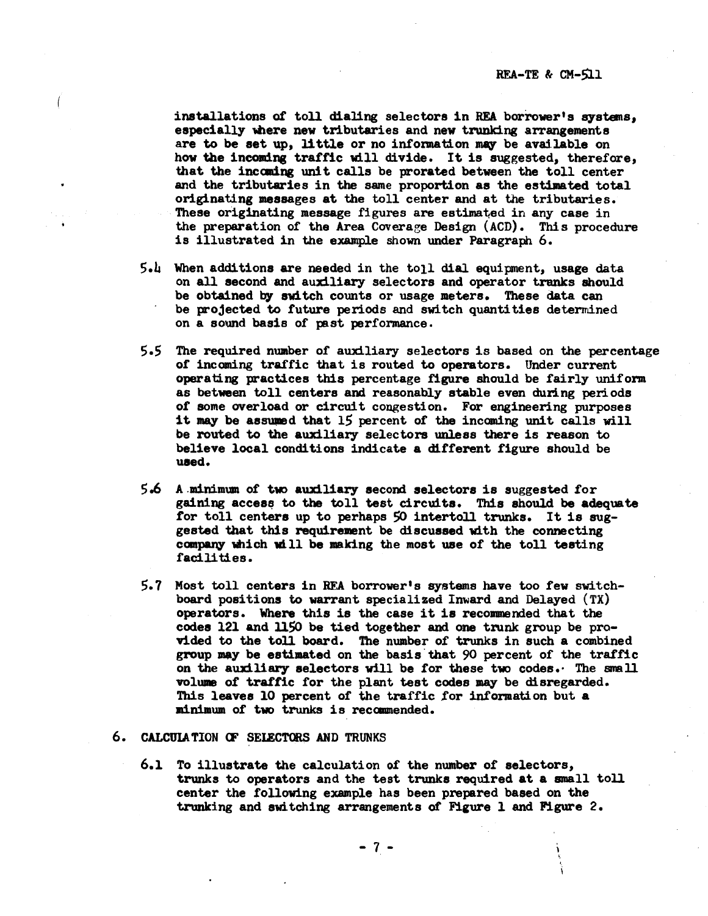'·

installations of toll dialing selectors in REA borrower's systems. especially where new tributaries and new trunking arrangements are to be set up, little or no information may be available on how the incoming traffic will divide. It is suggested, therefore, that the incoming unit calls be prorated between the toll center and the tributaries in the same proportion as the estimated total originating messages at the toll center and at the tributaries. These originating message figures are estimated in any case in the preparation of the Area Coverage Design (ACD). This procedure is illustrated in the example shown under Paragraph 6.

- $5.4$  When additions are needed in the toll dial equipment, usage data on all second and auxiliary selectors and operator tranks should be obtained by switch counts or usage meters. These data can be projected to future periods and switch quanti ties determined on a sound basis of past performance.
- 5.5 The required number of auxiliary selectors is based on the percentage of incoming traffic that is routed to operators. Under current operating practices this percentage figure should be fairly uniform as between toll centers and reasonably stable even during periods of some overload or circuit congestion. For engineering purposes it may be assumed that 15 percent of the incoming unit calls will be routed to the auxiliary selectors unless there is reason to believe local conditions indicate a different figure should be used.
- $5.6$  A minimum of two auxiliary second selectors is suggested for gaining access to the toll test circuits. This should be adequate for toll centers up to perhaps 50 intertoll trunks. It is suggested that this requirement be discussed with the connecting company which will be making the most use of the toll testing facilities.
- 5. 7 Most toll centers in REA borrower's systems have too few switchboard positions to warrant specialized Imvard and Delayed (TX) operators. Where this is the case it is recommended that the codes 121 and 1150 be tied together and one trunk group be provided to the toll board. The number of trunks in such a combined group may be estimated on the basis that 90 percent of the traffic on the auxiliary selectors will be for these two codes.· The small volume of traffic for the plant test codes may be disregarded. This leaves 10 percent of the traffic for information but a minimum of two trunks is recommended.

#### 6. CALCUIA TION CF SELECTORS AND TRUNKS

6.1 To illustrate the calculation of the number of selectors, trunks to operators and the test trunks required at a small toll center the following example has been prepared baaed on the trunking and switching arrangements of Figure 1 and Figure 2.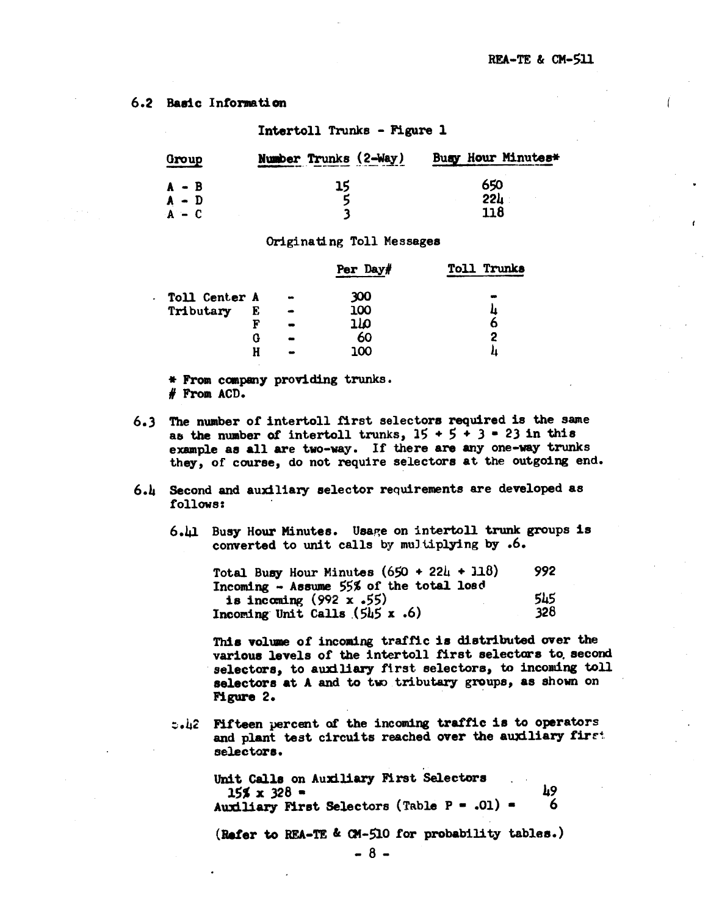# 6.2 Basic Information

# Intertoll Trunks - Figure 1

| $0$ roup | Number Trunks (2-Way) | Busy Hour Minutes* |  |
|----------|-----------------------|--------------------|--|
| $A - B$  | 15                    | 650                |  |
| $A - D$  |                       | 22 <sub>4</sub>    |  |
| $A - C$  |                       | 1 7 R              |  |

### Originating Toll Messages

|               |   | Per Day# | Toll<br>Trunks |
|---------------|---|----------|----------------|
| Toll Center A |   | 300      |                |
| Tributary     | E | 100      |                |
|               | F | م21      |                |
|               | G | 60       | 2              |
|               | H | 100      | IJ             |
|               |   |          |                |

\* From company providing trunks. # From ACD.

- 6.3 The number of intertoll first selectors required is the same as the number of intertoll trunks,  $15 \div 5 \div 3 = 23$  in this example as all are two-way. If there are any one-way trunks they, of course, do not require selectors at the outgoing end.
- 6.4 Second and auxiliary selector requirements are developed as follows:
	- 6.11 Busy Hour Minutes. Usage on intertoll trunk groups is converted to unit calls by multiplying by .6.

| Total Busy Hour Minutes $(650 + 224 + 118)$ | 992. |
|---------------------------------------------|------|
| Incoming - Assume 55% of the total load     |      |
| is incoming $(992 \times .55)$              | 545  |
| Incoming Unit Calls $(545 \times .6)$       | 328  |

This volume of incoming traffic is distributed over the various levels of the intertoll first selectors to second selectors, to auxiliary first selectors, to incoming toll selectors at A and to two tributary groups, as shown on **Figure 2.** 

t.42 Fifteen percent of the incoming traffic is to operators and plant test circuits reached over the auxiliary first selectors.

> Unit Calls on Auxiliary First Selectors **L9**  $15\frac{2}{3} \times 328 =$ Auxiliary First Selectors (Table P = .01) = 6

(Refer to REA-TE & CM-510 for probability tables.)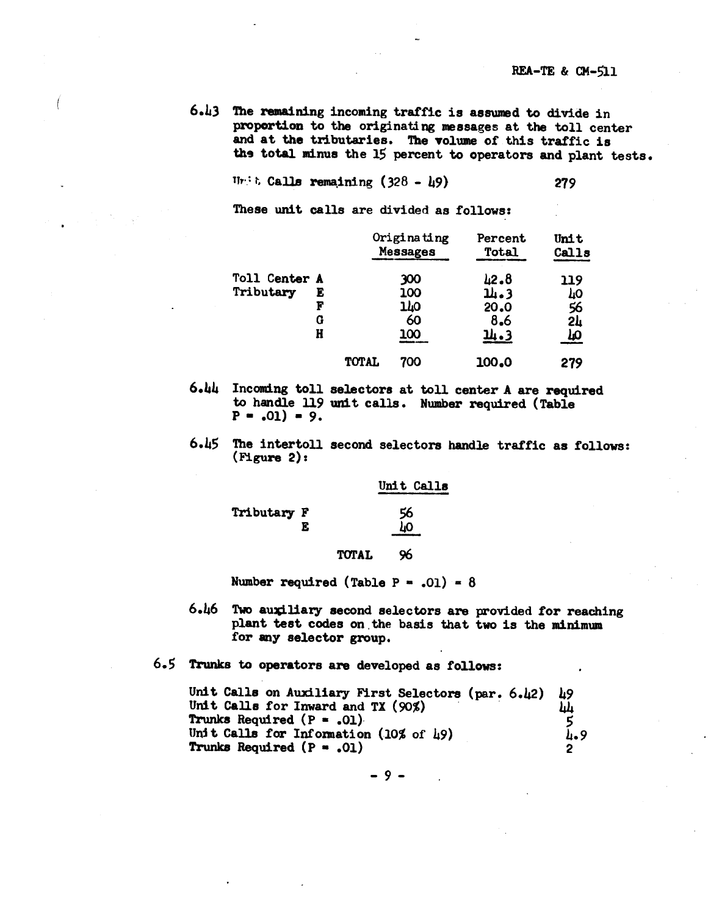6.43 The remaining incoming traffic is assumed to divide in proportion to the originating messages at the toll center and at the tributaries. The volume of this traffic is the total minus the 15 percent to operators and plant tests.

 $Iir: b$  Calls remaining (328 - 49) 279

These unit calls are divided as follows:

|                      |   |              | Originating<br>Messages | Percent<br><b>Total</b> | Unit<br>Calls |
|----------------------|---|--------------|-------------------------|-------------------------|---------------|
| <b>Toll Center A</b> |   |              | 300                     | 42.8                    | 119           |
| Tributary            | E |              | 100                     | 11.3                    | 40            |
|                      | F |              | <b>140</b>              | 20.0                    | 56            |
|                      | G |              | 60                      | 8.6                     | 24            |
|                      | H |              | 100                     | 과·3                     | <u>क</u>      |
|                      |   | <b>TOTAL</b> | 700                     | 100.0                   | 279           |

- 6.44 Incoming toll selectors at toll center A are required to handle 119 unit calls. Number required (Table  $P = .01$ ) = 9.
- 6.45 The intertoll second selectors handle traffic as follows:  $(Hgure 2):$

56 ŢO

#### Unit Calls

| <b>Tributary F</b> |   |
|--------------------|---|
|                    | E |

#### **TOTAL** 96

Number required (Table P = .01) = 8

- 6.46 Two auxiliary second selectors are provided for reaching plant test codes on the basis that two is the minimum for any selector group.
- 6.5 Trunks to operators are developed as follows:

Unit Calls on Auxiliary First Selectors (par. 6.42) 49 Unit Calls for Inward and TX (90%) Шı 5<br>4.9 Trunks Required  $(P = .01)$ Unit Calls for Information (10% of  $\mu$ 9) Trunks Required  $(P = .01)$ 

 $-9-$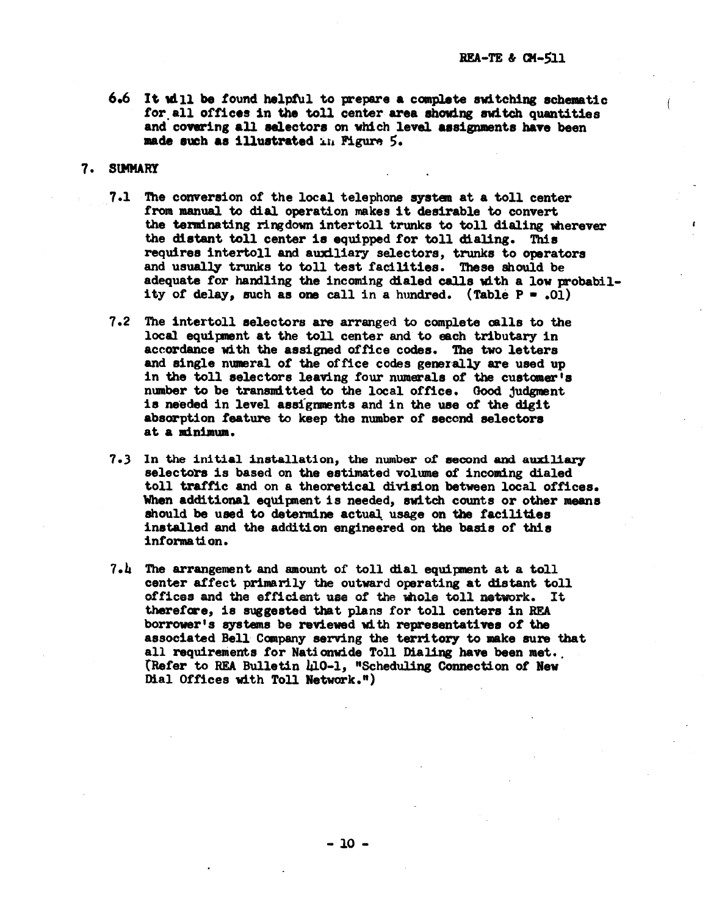6.6 It will be found helpful to prepare a complete switching schematic for all offices in the toll center area showing switch quantities and covering all selectors on which level assignments have been made such as illustrated in Figure 5.

# 7. SIMMARY

- 7.1 The conversion of the local telephone system at a toll center from manual to dial operation makes it desirable to convert the terminating ringdown intertoll trunks to toll dialing wherever the distant toll center is equipped for toll dialing. This requires intertoll and auxiliary selectors, trunks to operators and usually trunks to toll test facilities. These should be adequate for handling the incoming dialed calls with a low probability of delay, such as one call in a hundred. (Table  $P = .01$ )
- 7.2 The intertoll selectors are arranged to complete calls to the local equipment at the toll center and to each tributary in accordance with the assigned office codes. The two letters and single numeral of the office codes generally are used up in the toll selectors leaving four numerals of the customer's number to be transmitted to the local office. Good judgment is needed in level assignments and in the use of the digit absorption feature to keep the number of second selectors at a minimum.
- 7.3 In the initial installation, the number of second and auxiliary selectors is based on the estimated volume of incoming dialed toll traffic and on a theoretical division between local offices. When additional equipment is needed, switch counts or other means should be used to determine actual usage on the facilities installed and the addition engineered on the basis of this information.
- 7.4 The arrangement and amount of toll dial equipment at a toll center affect primarily the outward operating at distant toll offices and the efficient use of the whole toll network. It therefore, is suggested that plans for toll centers in REA borrower's systems be reviewed with representatives of the associated Bell Company serving the territory to make sure that all requirements for Nationwide Toll Dialing have been met. (Refer to REA Bulletin 410-1, "Scheduling Connection of New Dial Offices with Toll Network.")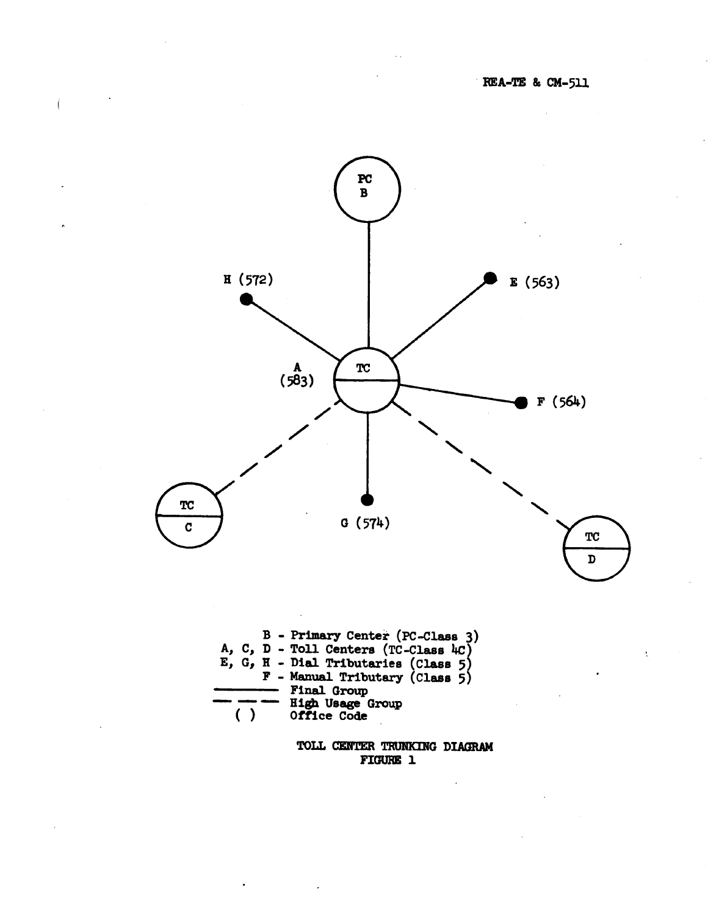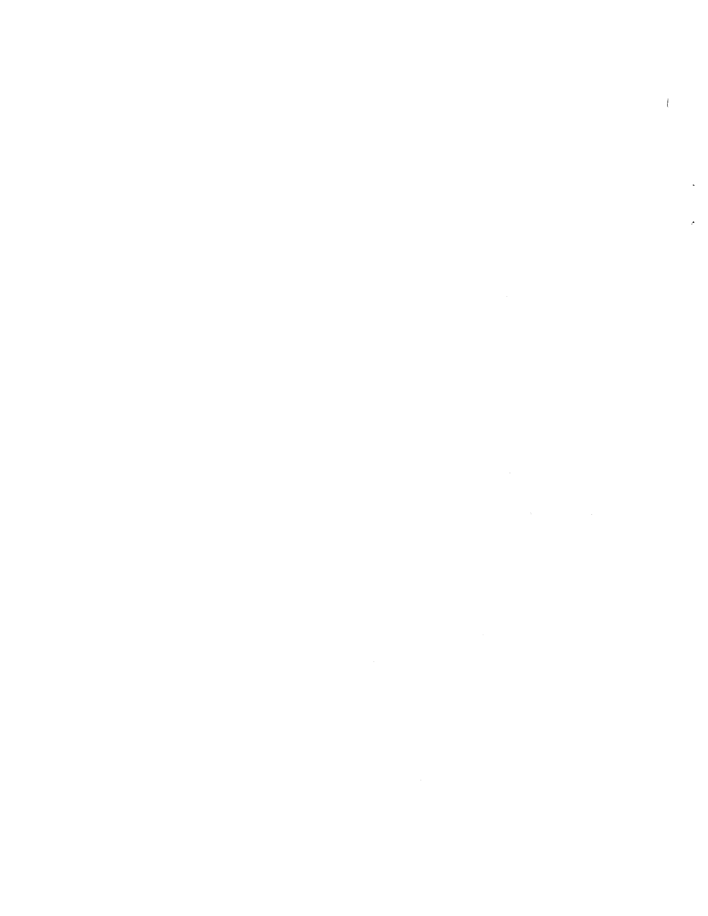$\sim$ 

 $\bar{\lambda}$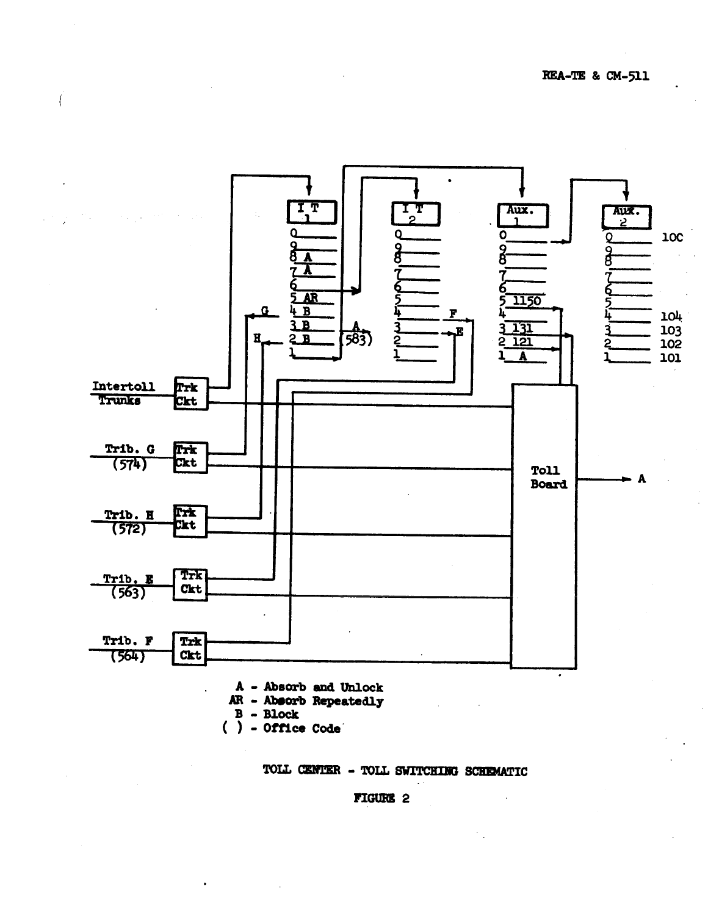REA-TE & CM-511



 $\overline{()}$  - Office Code

TOLL CENTER - TOLL SWITCHING SCHEMATIC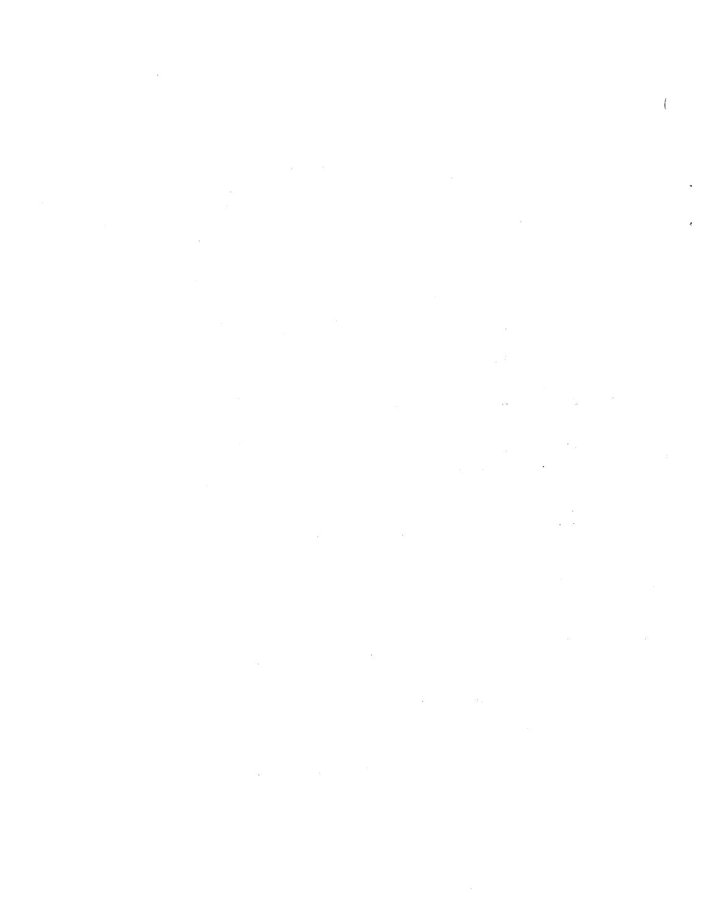$\label{eq:2.1} \frac{1}{\sqrt{2}}\int_{\mathbb{R}^3}\frac{1}{\sqrt{2}}\left(\frac{1}{\sqrt{2}}\int_{\mathbb{R}^3}\frac{1}{\sqrt{2}}\left(\frac{1}{\sqrt{2}}\int_{\mathbb{R}^3}\frac{1}{\sqrt{2}}\left(\frac{1}{\sqrt{2}}\int_{\mathbb{R}^3}\frac{1}{\sqrt{2}}\right)\frac{1}{\sqrt{2}}\right)\frac{1}{\sqrt{2}}\right)=\frac{1}{2}\int_{\mathbb{R}^3}\frac{1}{\sqrt{2}}\int_{\mathbb{R}^3}\frac{1}{\sqrt{2}}\frac{1}{\$ 

 $\left($ 

 $\label{eq:2.1} \frac{1}{\sqrt{2}}\left(\frac{1}{\sqrt{2}}\right)^{2} \left(\frac{1}{\sqrt{2}}\right)^{2} \left(\frac{1}{\sqrt{2}}\right)^{2} \left(\frac{1}{\sqrt{2}}\right)^{2} \left(\frac{1}{\sqrt{2}}\right)^{2} \left(\frac{1}{\sqrt{2}}\right)^{2} \left(\frac{1}{\sqrt{2}}\right)^{2} \left(\frac{1}{\sqrt{2}}\right)^{2} \left(\frac{1}{\sqrt{2}}\right)^{2} \left(\frac{1}{\sqrt{2}}\right)^{2} \left(\frac{1}{\sqrt{2}}\right)^{2} \left(\$ 

 $\label{eq:2.1} \frac{1}{\sqrt{2\pi}}\int_{\mathbb{R}^3}\frac{1}{\sqrt{2\pi}}\int_{\mathbb{R}^3}\frac{1}{\sqrt{2\pi}}\int_{\mathbb{R}^3}\frac{1}{\sqrt{2\pi}}\int_{\mathbb{R}^3}\frac{1}{\sqrt{2\pi}}\int_{\mathbb{R}^3}\frac{1}{\sqrt{2\pi}}\int_{\mathbb{R}^3}\frac{1}{\sqrt{2\pi}}\int_{\mathbb{R}^3}\frac{1}{\sqrt{2\pi}}\int_{\mathbb{R}^3}\frac{1}{\sqrt{2\pi}}\int_{\mathbb{R}^3}\frac{1$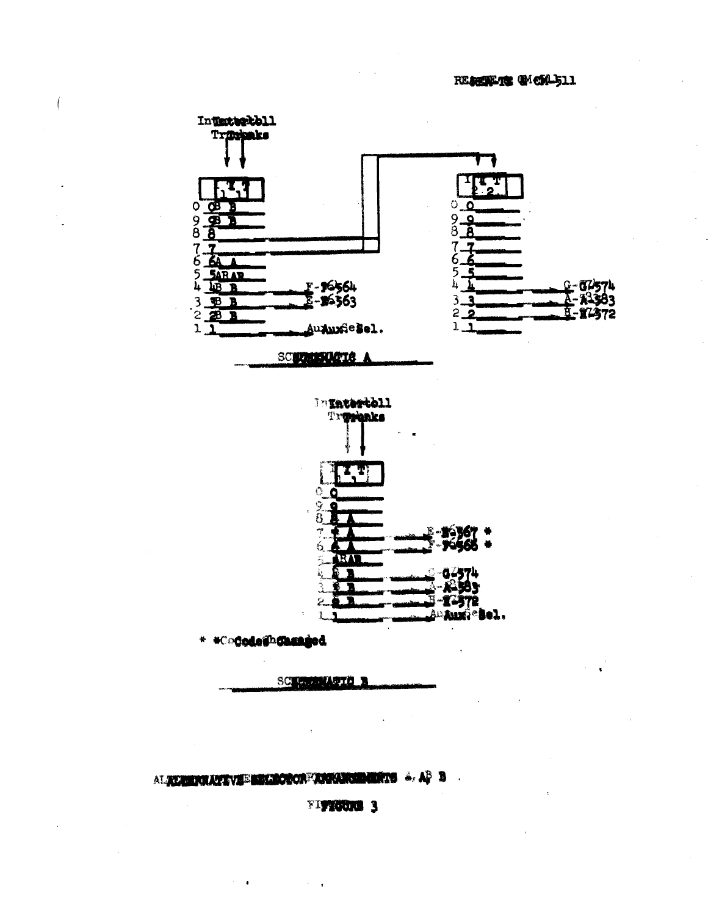

#### ALACABIANATIVE BEGICTOR ANNANCIARERS 4, AP B  $\sim$

FIFEGURE 3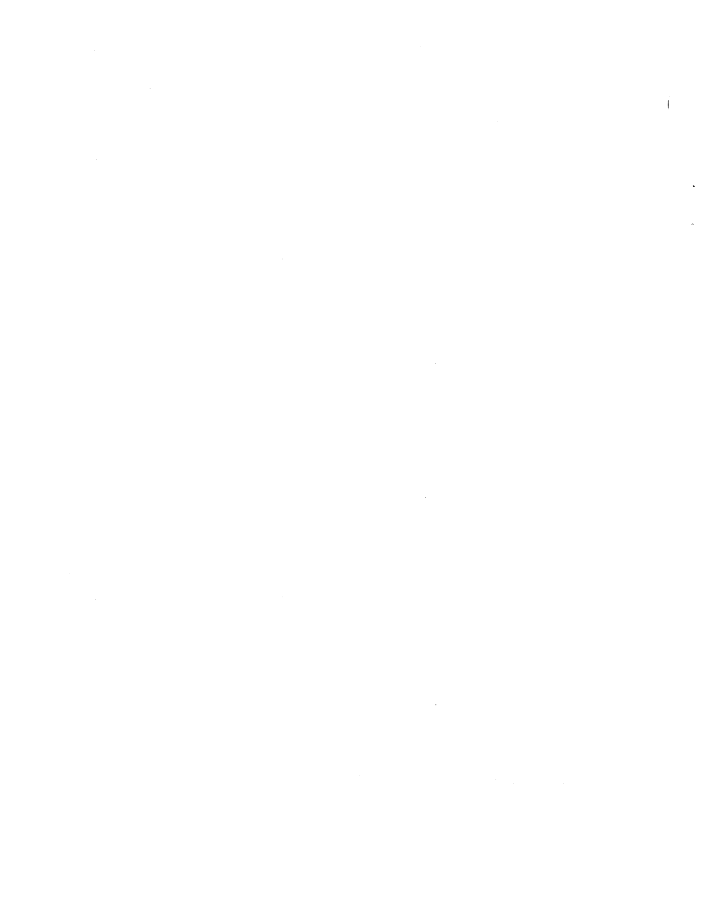$\int$ 

 $\label{eq:2.1} \frac{1}{\sqrt{2}}\int_{\mathbb{R}^3}\frac{1}{\sqrt{2}}\left(\frac{1}{\sqrt{2}}\right)^2\frac{1}{\sqrt{2}}\left(\frac{1}{\sqrt{2}}\right)^2\frac{1}{\sqrt{2}}\left(\frac{1}{\sqrt{2}}\right)^2\frac{1}{\sqrt{2}}\left(\frac{1}{\sqrt{2}}\right)^2.$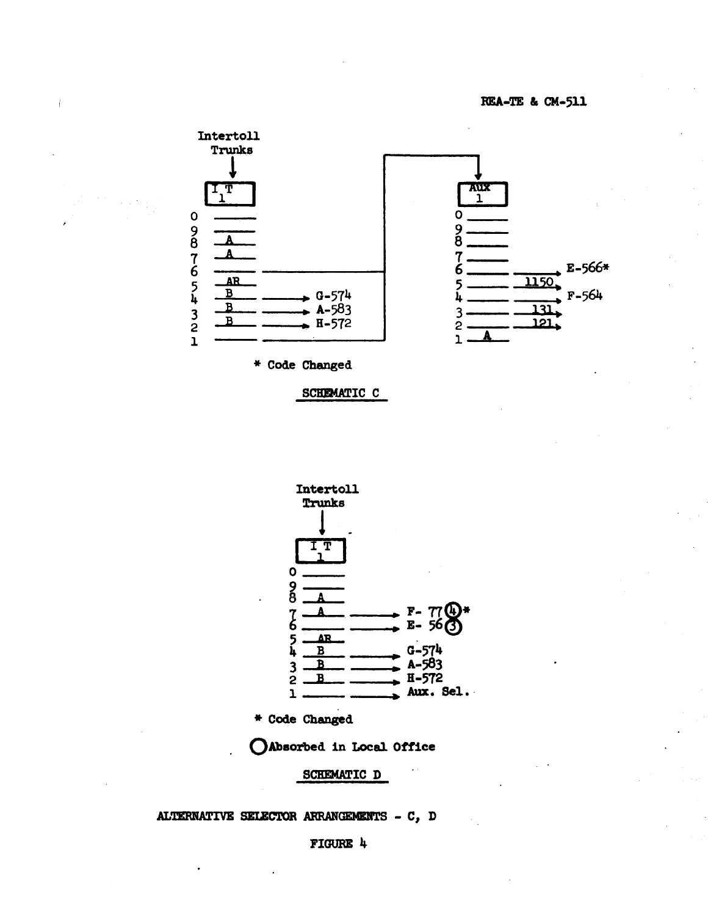

**Intertoll** Trunks  $\bullet$  $\frac{9}{6}$  $\zeta$  $F T<sub>1</sub>$ e- 56*(*3  $\overline{5}$ ΔR<sub></sub>  $\mathbf B$ G-574 A-583 B 3  $H-572$  $\mathbf{B}$ 2 Aux. Sel.  $\mathbf 1$ 

\* Code Changed

OAbsorbed in Local Office

# SCHEMATIC D

ALTERNATIVE SELECTOR ARRANGEMENTS - C, D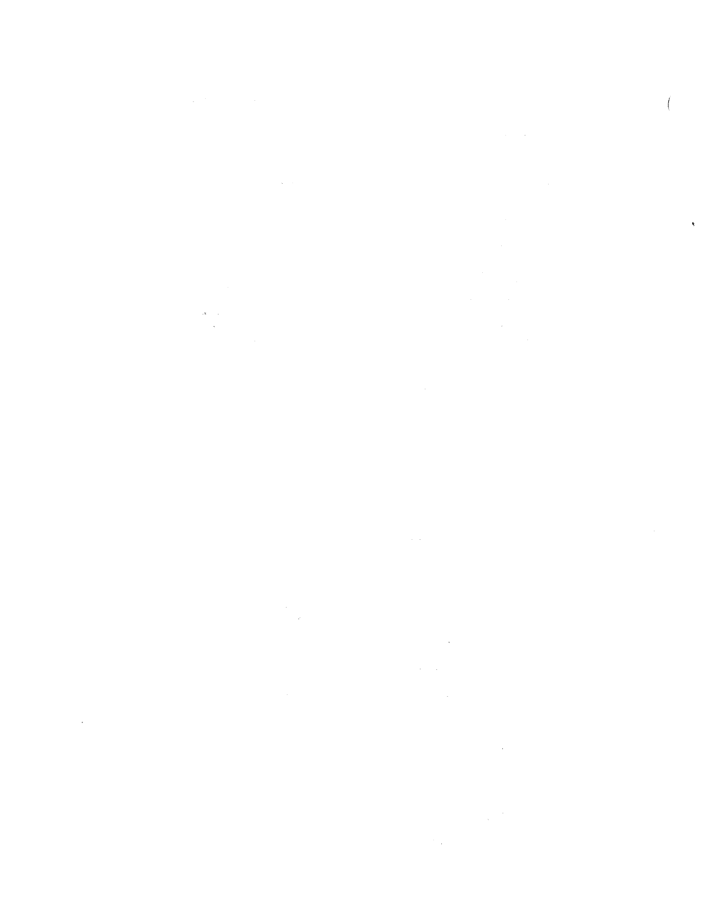$\label{eq:2.1} \frac{1}{\sqrt{2\pi}}\int_{0}^{\infty} \frac{1}{\sqrt{2\pi}}\left(\frac{1}{\sqrt{2\pi}}\right)^{2\pi} \frac{1}{\sqrt{2\pi}}\int_{0}^{\infty} \frac{1}{\sqrt{2\pi}}\left(\frac{1}{\sqrt{2\pi}}\right)^{2\pi} \frac{1}{\sqrt{2\pi}}\int_{0}^{\infty} \frac{1}{\sqrt{2\pi}}\frac{1}{\sqrt{2\pi}}\frac{1}{\sqrt{2\pi}}\frac{1}{\sqrt{2\pi}}\int_{0}^{\infty} \frac{1}{\sqrt{2\pi}}\frac{1}{\sqrt$  $\label{eq:2.1} \frac{1}{\sqrt{2\pi}}\int_{0}^{\infty} \frac{1}{\sqrt{2\pi}}\left(\frac{1}{\sqrt{2\pi}}\right)^{2\pi} \frac{1}{\sqrt{2\pi}}\int_{0}^{\infty} \frac{1}{\sqrt{2\pi}}\left(\frac{1}{\sqrt{2\pi}}\right)^{2\pi} \frac{1}{\sqrt{2\pi}}\int_{0}^{\infty} \frac{1}{\sqrt{2\pi}}\frac{1}{\sqrt{2\pi}}\frac{1}{\sqrt{2\pi}}\frac{1}{\sqrt{2\pi}}\int_{0}^{\infty} \frac{1}{\sqrt{2\pi}}\frac{1}{\sqrt$ 

 $\label{eq:2.1} \begin{split} \mathbf{A} & = \mathbf{A} \mathbf{A} + \mathbf{A} \mathbf{A} + \mathbf{A} \mathbf{A} + \mathbf{A} \mathbf{A} + \mathbf{A} \mathbf{A} + \mathbf{A} \mathbf{A} + \mathbf{A} \mathbf{A} + \mathbf{A} \mathbf{A} + \mathbf{A} \mathbf{A} + \mathbf{A} \mathbf{A} + \mathbf{A} \mathbf{A} + \mathbf{A} \mathbf{A} + \mathbf{A} \mathbf{A} + \mathbf{A} \mathbf{A} + \mathbf{A} \mathbf{A} + \mathbf$ 

 $\label{eq:2.1} \begin{split} \mathcal{L}_{\text{max}}(\mathbf{r}) & = \frac{1}{2} \sum_{i=1}^{N} \mathcal{L}_{\text{max}}(\mathbf{r}) \mathcal{L}_{\text{max}}(\mathbf{r}) \\ & = \frac{1}{2} \sum_{i=1}^{N} \mathcal{L}_{\text{max}}(\mathbf{r}) \mathcal{L}_{\text{max}}(\mathbf{r}) \mathcal{L}_{\text{max}}(\mathbf{r}) \end{split}$  $\mathcal{L}^{\text{max}}_{\text{max}}$  and  $\mathcal{L}^{\text{max}}_{\text{max}}$ 

 $\label{eq:2.1} \frac{1}{\sqrt{2}}\left(\frac{1}{\sqrt{2}}\right)^{2} \left(\frac{1}{\sqrt{2}}\right)^{2} \left(\frac{1}{\sqrt{2}}\right)^{2} \left(\frac{1}{\sqrt{2}}\right)^{2} \left(\frac{1}{\sqrt{2}}\right)^{2} \left(\frac{1}{\sqrt{2}}\right)^{2} \left(\frac{1}{\sqrt{2}}\right)^{2} \left(\frac{1}{\sqrt{2}}\right)^{2} \left(\frac{1}{\sqrt{2}}\right)^{2} \left(\frac{1}{\sqrt{2}}\right)^{2} \left(\frac{1}{\sqrt{2}}\right)^{2} \left(\$  $\mathcal{L}^{\text{max}}_{\text{max}}$  and  $\mathcal{L}^{\text{max}}_{\text{max}}$  $\label{eq:2.1} \mathcal{L}(\mathcal{L}^{\text{max}}_{\mathcal{L}}(\mathcal{L}^{\text{max}}_{\mathcal{L}}),\mathcal{L}^{\text{max}}_{\mathcal{L}}(\mathcal{L}^{\text{max}}_{\mathcal{L}}))$ 

 $\label{eq:2} \mathcal{L} = \mathcal{L} \left( \mathcal{L} \right) \mathcal{L} \left( \mathcal{L} \right)$